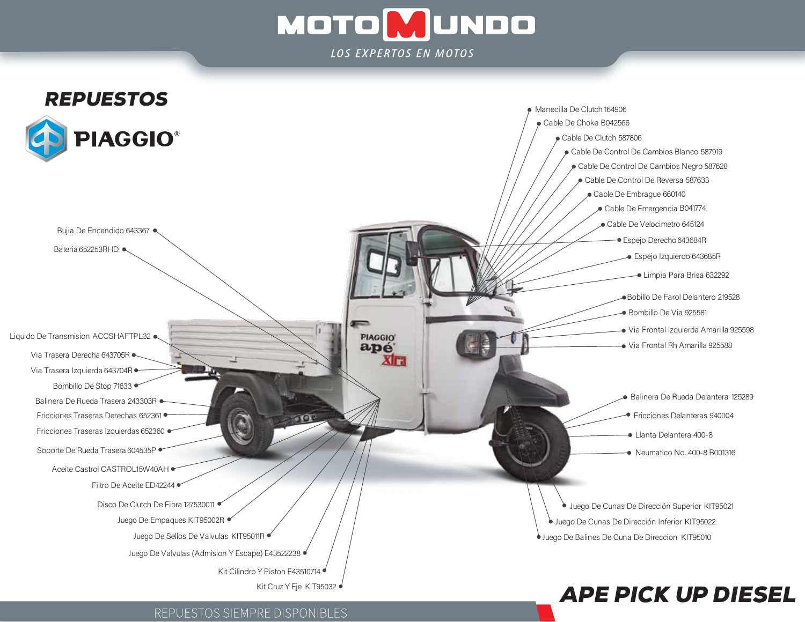# **MOTOMUNDO** LOS EXPERTOS EN MOTOS



## REPUESTOS SIEMPRE DISPONIBLES